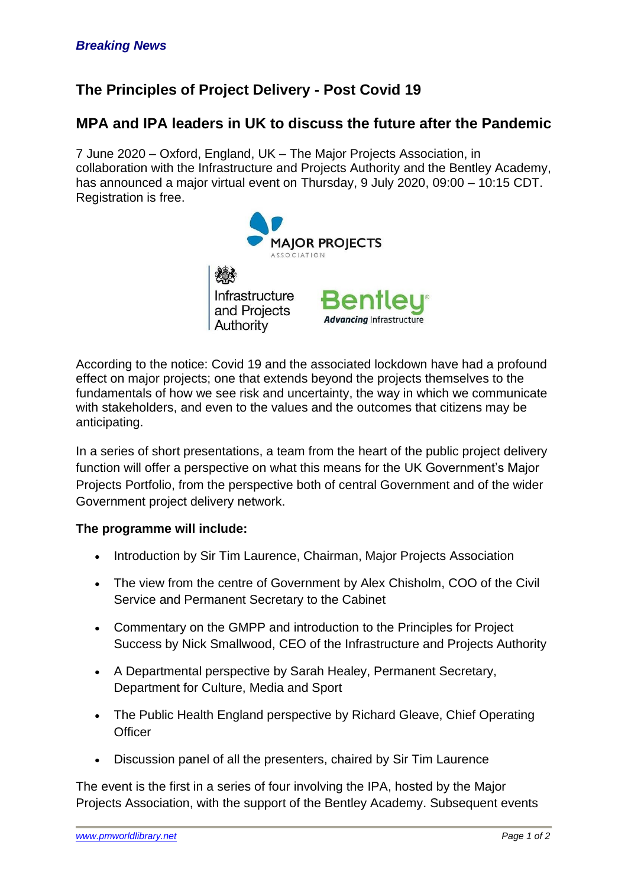# **The Principles of Project Delivery - Post Covid 19**

# **MPA and IPA leaders in UK to discuss the future after the Pandemic**

7 June 2020 – Oxford, England, UK – The Major Projects Association, in collaboration with the Infrastructure and Projects Authority and the Bentley Academy, has announced a major virtual event on Thursday, 9 July 2020, 09:00 – 10:15 CDT. Registration is free.



According to the notice: Covid 19 and the associated lockdown have had a profound effect on major projects; one that extends beyond the projects themselves to the fundamentals of how we see risk and uncertainty, the way in which we communicate with stakeholders, and even to the values and the outcomes that citizens may be anticipating.

In a series of short presentations, a team from the heart of the public project delivery function will offer a perspective on what this means for the UK Government's Major Projects Portfolio, from the perspective both of central Government and of the wider Government project delivery network.

## **The programme will include:**

- Introduction by Sir Tim Laurence, Chairman, Major Projects Association
- The view from the centre of Government by Alex Chisholm, COO of the Civil Service and Permanent Secretary to the Cabinet
- Commentary on the GMPP and introduction to the Principles for Project Success by Nick Smallwood, CEO of the Infrastructure and Projects Authority
- A Departmental perspective by Sarah Healey, Permanent Secretary, Department for Culture, Media and Sport
- The Public Health England perspective by Richard Gleave, Chief Operating **Officer**
- Discussion panel of all the presenters, chaired by Sir Tim Laurence

The event is the first in a series of four involving the IPA, hosted by the Major Projects Association, with the support of the Bentley Academy. Subsequent events